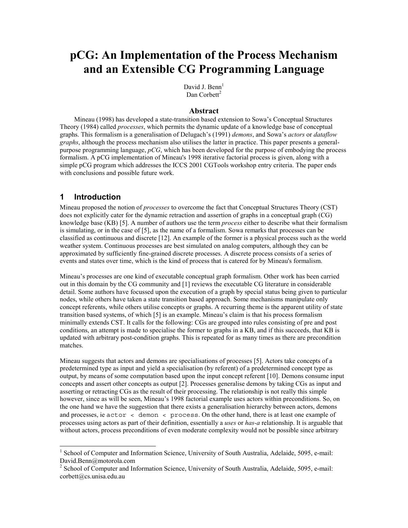# **pCG: An Implementation of the Process Mechanism and an Extensible CG Programming Language**

David J. Benn<sup>1</sup> Dan Corbett<sup>2</sup>

#### **Abstract**

Mineau (1998) has developed a state-transition based extension to Sowa's Conceptual Structures Theory (1984) called *processes*, which permits the dynamic update of a knowledge base of conceptual graphs. This formalism is a generalisation of Delugach's (1991) *demons*, and Sowa's *actors* or *dataflow graphs*, although the process mechanism also utilises the latter in practice. This paper presents a generalpurpose programming language, *pCG*, which has been developed for the purpose of embodying the process formalism. A pCG implementation of Mineau's 1998 iterative factorial process is given, along with a simple pCG program which addresses the ICCS 2001 CGTools workshop entry criteria. The paper ends with conclusions and possible future work.

### **1 Introduction**

Mineau proposed the notion of *processes* to overcome the fact that Conceptual Structures Theory (CST) does not explicitly cater for the dynamic retraction and assertion of graphs in a conceptual graph (CG) knowledge base (KB) [[5\]](#page-11-0). A number of authors use the term *process* either to describe what their formalism is simulating, or in the case of [[5\]](#page-11-0), as the name of a formalism. Sowa remarks that processes can be classified as continuous and discrete [[12\]](#page-12-0). An example of the former is a physical process such as the world weather system. Continuous processes are best simulated on analog computers, although they can be approximated by sufficiently fine-grained discrete processes. A discrete process consists of a series of events and states over time, which is the kind of process that is catered for by Mineau's formalism.

Mineau's processes are one kind of executable conceptual graph formalism. Other work has been carried out in this domain by the CG community and [[1\]](#page-11-0) reviews the executable CG literature in considerable detail. Some authors have focussed upon the execution of a graph by special status being given to particular nodes, while others have taken a state transition based approach. Some mechanisms manipulate only concept referents, while others utilise concepts or graphs. A recurring theme is the apparent utility of state transition based systems, of which [\[5\]](#page-11-0) is an example. Mineau's claim is that his process formalism minimally extends CST. It calls for the following: CGs are grouped into rules consisting of pre and post conditions, an attempt is made to specialise the former to graphs in a KB, and if this succeeds, that KB is updated with arbitrary post-condition graphs. This is repeated for as many times as there are precondition matches.

Mineau suggests that actors and demons are specialisations of processes [[5\]](#page-11-0). Actors take concepts of a predetermined type as input and yield a specialisation (by referent) of a predetermined concept type as output, by means of some computation based upon the input concept referent [[10\]](#page-12-0). Demons consume input concepts and assert other concepts as output [[2\]](#page-11-0). Processes generalise demons by taking CGs as input and asserting or retracting CGs as the result of their processing. The relationship is not really this simple however, since as will be seen, Mineau's 1998 factorial example uses actors within preconditions. So, on the one hand we have the suggestion that there exists a generalisation hierarchy between actors, demons and processes, ie actor < demon < process. On the other hand, there is at least one example of processes using actors as part of their definition, essentially a *uses* or *has-a* relationship. It is arguable that without actors, process preconditions of even moderate complexity would not be possible since arbitrary

<sup>&</sup>lt;sup>1</sup> School of Computer and Information Science, University of South Australia, Adelaide, 5095, e-mail: David.Benn@motorola.com

<sup>&</sup>lt;sup>2</sup> School of Computer and Information Science, University of South Australia, Adelaide, 5095, e-mail: corbett@cs.unisa.edu.au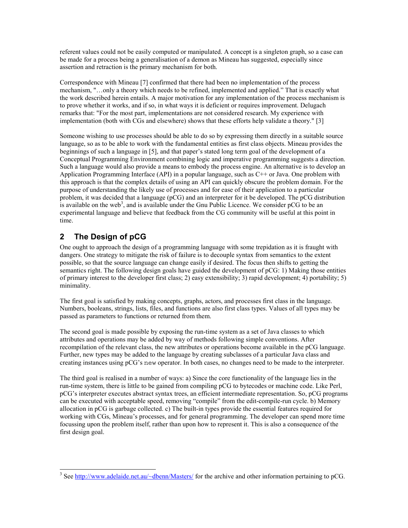referent values could not be easily computed or manipulated. A concept is a singleton graph, so a case can be made for a process being a generalisation of a demon as Mineau has suggested, especially since assertion and retraction is the primary mechanism for both.

Correspondence with Mineau [[7\]](#page-11-0) confirmed that there had been no implementation of the process mechanism, "…only a theory which needs to be refined, implemented and applied." That is exactly what the work described herein entails. A major motivation for any implementation of the process mechanism is to prove whether it works, and if so, in what ways it is deficient or requires improvement. Delugach remarks that: "For the most part, implementations are not considered research. My experience with implementation (both with CGs and elsewhere) shows that these efforts help validate a theory." [[3\]](#page-11-0)

Someone wishing to use processes should be able to do so by expressing them directly in a suitable source language, so as to be able to work with the fundamental entities as first class objects. Mineau provides the beginnings of such a language in [[5\]](#page-11-0), and that paper's stated long term goal of the development of a Conceptual Programming Environment combining logic and imperative programming suggests a direction. Such a language would also provide a means to embody the process engine. An alternative is to develop an Application Programming Interface (API) in a popular language, such as C++ or Java. One problem with this approach is that the complex details of using an API can quickly obscure the problem domain. For the purpose of understanding the likely use of processes and for ease of their application to a particular problem, it was decided that a language (pCG) and an interpreter for it be developed. The pCG distribution is available on the web<sup>3</sup>, and is available under the Gnu Public Licence. We consider  $pCG$  to be an experimental language and believe that feedback from the CG community will be useful at this point in time.

# **2 The Design of pCG**

l

One ought to approach the design of a programming language with some trepidation as it is fraught with dangers. One strategy to mitigate the risk of failure is to decouple syntax from semantics to the extent possible, so that the source language can change easily if desired. The focus then shifts to getting the semantics right. The following design goals have guided the development of pCG: 1) Making those entities of primary interest to the developer first class; 2) easy extensibility; 3) rapid development; 4) portability; 5) minimality.

The first goal is satisfied by making concepts, graphs, actors, and processes first class in the language. Numbers, booleans, strings, lists, files, and functions are also first class types. Values of all types may be passed as parameters to functions or returned from them.

The second goal is made possible by exposing the run-time system as a set of Java classes to which attributes and operations may be added by way of methods following simple conventions. After recompilation of the relevant class, the new attributes or operations become available in the pCG language. Further, new types may be added to the language by creating subclasses of a particular Java class and creating instances using pCG's new operator. In both cases, no changes need to be made to the interpreter.

The third goal is realised in a number of ways: a) Since the core functionality of the language lies in the run-time system, there is little to be gained from compiling pCG to bytecodes or machine code. Like Perl, pCG's interpreter executes abstract syntax trees, an efficient intermediate representation. So, pCG programs can be executed with acceptable speed, removing "compile" from the edit-compile-run cycle. b) Memory allocation in pCG is garbage collected. c) The built-in types provide the essential features required for working with CGs, Mineau's processes, and for general programming. The developer can spend more time focussing upon the problem itself, rather than upon how to represent it. This is also a consequence of the first design goal.

<sup>&</sup>lt;sup>3</sup> See http://www.adelaide.net.au/~dbenn/Masters/ for the archive and other information pertaining to pCG.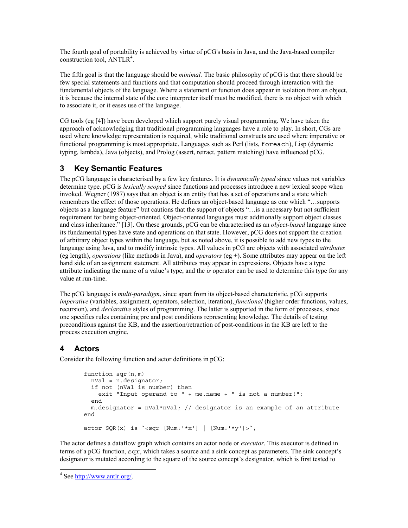The fourth goal of portability is achieved by virtue of pCG's basis in Java, and the Java-based compiler construction tool, ANTLR<sup>4</sup>.

The fifth goal is that the language should be *minimal.* The basic philosophy of pCG is that there should be few special statements and functions and that computation should proceed through interaction with the fundamental objects of the language. Where a statement or function does appear in isolation from an object, it is because the internal state of the core interpreter itself must be modified, there is no object with which to associate it, or it eases use of the language.

CG tools (eg [[4\]](#page-11-0)) have been developed which support purely visual programming. We have taken the approach of acknowledging that traditional programming languages have a role to play. In short, CGs are used where knowledge representation is required, while traditional constructs are used where imperative or functional programming is most appropriate. Languages such as Perl (lists, foreach), Lisp (dynamic typing, lambda), Java (objects), and Prolog (assert, retract, pattern matching) have influenced pCG.

### **3 Key Semantic Features**

The pCG language is characterised by a few key features. It is *dynamically typed* since values not variables determine type. pCG is *lexically scoped* since functions and processes introduce a new lexical scope when invoked. Wegner (1987) says that an object is an entity that has a set of operations and a state which remembers the effect of those operations. He defines an object-based language as one which "…supports objects as a language feature" but cautions that the support of objects "…is a necessary but not sufficient requirement for being object-oriented. Object-oriented languages must additionally support object classes and class inheritance." [[13\]](#page-12-0). On these grounds, pCG can be characterised as an *object-based* language since its fundamental types have state and operations on that state. However, pCG does not support the creation of arbitrary object types within the language, but as noted above, it is possible to add new types to the language using Java, and to modify intrinsic types. All values in pCG are objects with associated *attributes* (eg length), *operations* (like methods in Java), and *operators* (eg +). Some attributes may appear on the left hand side of an assignment statement. All attributes may appear in expressions. Objects have a type attribute indicating the name of a value's type, and the *is* operator can be used to determine this type for any value at run-time.

The pCG language is *multi-paradigm*, since apart from its object-based characteristic, pCG supports *imperative* (variables, assignment, operators, selection, iteration), *functional* (higher order functions, values, recursion), and *declarative* styles of programming. The latter is supported in the form of processes, since one specifies rules containing pre and post conditions representing knowledge. The details of testing preconditions against the KB, and the assertion/retraction of post-conditions in the KB are left to the process execution engine.

### **4 Actors**

Consider the following function and actor definitions in pCG:

```
function sqr(n,m)
   nVal = n.designator;
   if not (nVal is number) then
    exit "Input operand to " + me.name + " is not a number!";
   end
  m.designator = nVal*nVal; // designator is an example of an attribute
end
actor SQR(x) is \leqsqr [Num:'*x'] | [Num:'*y']>';
```
The actor defines a dataflow graph which contains an actor node or *executor*. This executor is defined in terms of a pCG function, sqr, which takes a source and a sink concept as parameters. The sink concept's designator is mutated according to the square of the source concept's designator, which is first tested to

l

 $4$  See http://www.antlr.org/.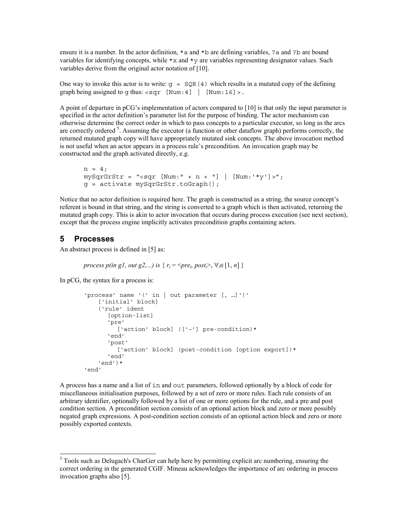ensure it is a number. In the actor definition,  $*a$  and  $*b$  are defining variables, ?a and ?b are bound variables for identifying concepts, while  $\star x$  and  $\star y$  are variables representing designator values. Such variables derive from the original actor notation of [\[10\]](#page-12-0).

One way to invoke this actor is to write:  $g = SQR(4)$  which results in a mutated copy of the defining graph being assigned to q thus:  $\langle \text{sqrt } \cdot 4 \cdot 1 \rangle$  [Num: 16] >.

A point of departure in pCG's implementation of actors compared to [[10\]](#page-12-0) is that only the input parameter is specified in the actor definition's parameter list for the purpose of binding. The actor mechanism can otherwise determine the correct order in which to pass concepts to a particular executor, so long as the arcs are correctly ordered<sup>5</sup>. Assuming the executor (a function or other dataflow graph) performs correctly, the returned mutated graph copy will have appropriately mutated sink concepts. The above invocation method is not useful when an actor appears in a process rule's precondition. An invocation graph may be constructed and the graph activated directly, e.g.

```
n = 4;mySqrGrStr = "<sqrt" style="color: red;">sqr [Num:" + n + "] | [Num:'*y']>";
g = activate mySqrGrStr.toGraph();
```
Notice that no actor definition is required here. The graph is constructed as a string, the source concept's referent is bound in that string, and the string is converted to a graph which is then activated, returning the mutated graph copy. This is akin to actor invocation that occurs during process execution (see next section), except that the process engine implicitly activates precondition graphs containing actors.

### **5 Processes**

An abstract process is defined in [[5\]](#page-11-0) as:

```
process p(in g1, out g2,...) is \{r_i = \langle pre_i, post_i \rangle, \forall i \in [1, n] \}
```
In pCG, the syntax for a process is:

```
'process' name '(' in | out parameter [, …]')'
    ['initial' block]
    ('rule' ident
      [option-list]
       'pre'
         ['action' block] (['~'] pre-condition)*
      'end'
      'post'
         ['action' block] (post-condition [option export])*
       'end'
    'end')*
'end'
```
A process has a name and a list of in and out parameters, followed optionally by a block of code for miscellaneous initialisation purposes, followed by a set of zero or more rules. Each rule consists of an arbitrary identifier, optionally followed by a list of one or more options for the rule, and a pre and post condition section. A precondition section consists of an optional action block and zero or more possibly negated graph expressions. A post-condition section consists of an optional action block and zero or more possibly exported contexts.

<sup>&</sup>lt;sup>5</sup> Tools such as Delugach's CharGer can help here by permitting explicit arc numbering, ensuring the correct ordering in the generated CGIF. Mineau acknowledges the importance of arc ordering in process invocation graphs also [5].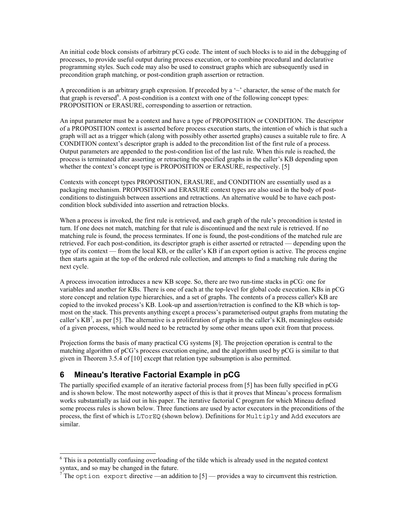An initial code block consists of arbitrary pCG code. The intent of such blocks is to aid in the debugging of processes, to provide useful output during process execution, or to combine procedural and declarative programming styles. Such code may also be used to construct graphs which are subsequently used in precondition graph matching, or post-condition graph assertion or retraction.

A precondition is an arbitrary graph expression. If preceded by a ' $\sim$ ' character, the sense of the match for that graph is reversed<sup>6</sup>. A post-condition is a context with one of the following concept types: PROPOSITION or ERASURE, corresponding to assertion or retraction.

An input parameter must be a context and have a type of PROPOSITION or CONDITION. The descriptor of a PROPOSITION context is asserted before process execution starts, the intention of which is that such a graph will act as a trigger which (along with possibly other asserted graphs) causes a suitable rule to fire. A CONDITION context's descriptor graph is added to the precondition list of the first rule of a process. Output parameters are appended to the post-condition list of the last rule. When this rule is reached, the process is terminated after asserting or retracting the specified graphs in the caller's KB depending upon whether the context's concept type is PROPOSITION or ERASURE, respectively. [[5\]](#page-11-0)

Contexts with concept types PROPOSITION, ERASURE, and CONDITION are essentially used as a packaging mechanism. PROPOSITION and ERASURE context types are also used in the body of postconditions to distinguish between assertions and retractions. An alternative would be to have each postcondition block subdivided into assertion and retraction blocks.

When a process is invoked, the first rule is retrieved, and each graph of the rule's precondition is tested in turn. If one does not match, matching for that rule is discontinued and the next rule is retrieved. If no matching rule is found, the process terminates. If one is found, the post-conditions of the matched rule are retrieved. For each post-condition, its descriptor graph is either asserted or retracted — depending upon the type of its context — from the local KB, or the caller's KB if an export option is active. The process engine then starts again at the top of the ordered rule collection, and attempts to find a matching rule during the next cycle.

A process invocation introduces a new KB scope. So, there are two run-time stacks in pCG: one for variables and another for KBs. There is one of each at the top-level for global code execution. KBs in pCG store concept and relation type hierarchies, and a set of graphs. The contents of a process caller's KB are copied to the invoked process's KB. Look-up and assertion/retraction is confined to the KB which is topmost on the stack. This prevents anything except a process's parameterised output graphs from mutating the caller's  $KB^7$ , as per [[5\]](#page-11-0). The alternative is a proliferation of graphs in the caller's  $KB$ , meaningless outside of a given process, which would need to be retracted by some other means upon exit from that process.

Projection forms the basis of many practical CG systems [[8\]](#page-11-0). The projection operation is central to the matching algorithm of pCG's process execution engine, and the algorithm used by pCG is similar to that given in Theorem 3.5.4 of [\[10\]](#page-12-0) except that relation type subsumption is also permitted.

### **6 Mineau's Iterative Factorial Example in pCG**

The partially specified example of an iterative factorial process from [[5\]](#page-11-0) has been fully specified in pCG and is shown below. The most noteworthy aspect of this is that it proves that Mineau's process formalism works substantially as laid out in his paper. The iterative factorial C program for which Mineau defined some process rules is shown below. Three functions are used by actor executors in the preconditions of the process, the first of which is LTorEQ (shown below). Definitions for Multiply and Add executors are similar.

<sup>&</sup>lt;sup>6</sup> This is a potentially confusing overloading of the tilde which is already used in the negated context syntax, and so may be changed in the future.

<sup>&</sup>lt;sup>7</sup> The option export directive —an addition to [5] — provides a way to circumvent this restriction.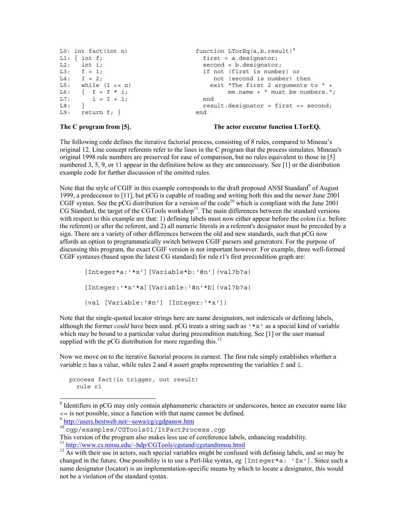```
L0: int fact(int n)
L1: \{ int f;L2: int i;
L3: f = 1;L4: I = 2;<br>
L5: while
      while (I \le n)L6: { f = f * i;L7: \t i = I + 1;L8: }
L9: return f; }
                                       function LTorEq(a,b,result)<sup>8</sup>
                                           first = a.designator;
                                           second = b.designator;
                                           if not (first is number) or
                                              not (second is number) then
                                             exit "The first 2 arguments to " +
                                                  me.name + " must be numbers.";
                                           end
                                          result.designator = first \leq second;end
```
#### **The C program from [\[5\]](#page-11-0).**

#### **The actor executor function LTorEQ.**

The following code defines the iterative factorial process, consisting of 8 rules, compared to Mineau's original 12. Line concept referents refer to the lines in the C program that the process simulates. Mineau's original 1998 rule numbers are preserved for ease of comparison, but no rules equivalent to those in [[5\]](#page-11-0) numbered 3, 5, 9, or 11 appear in the definition below as they are unnecessary. See [[1\]](#page-11-0) or the distribution example code for further discussion of the omitted rules.

Note that the style of CGIF in this example corresponds to the draft proposed ANSI Standard<sup>9</sup> of August 1999, a predecessor to [\[11\]](#page-12-0), but pCG is capable of reading and writing both this and the newer June 2001 CGIF syntax. See the pCG distribution for a version of the code<sup>10</sup> which is compliant with the June 2001 CG Standard, the target of the CGTools workshop<sup>11</sup>. The main differences between the standard versions with respect to this example are that: 1) defining labels must now either appear before the colon (i.e. before the referent) or after the referent, and 2) all numeric literals in a referent's designator must be preceded by a sign. There are a variety of other differences between the old and new standards, such that pCG now affords an option to programmatically switch between CGIF parsers and generators. For the purpose of discussing this program, the exact CGIF version is not important however. For example, three well-formed CGIF syntaxes (based upon the latest CG standard) for rule r1's first precondition graph are:

[Integer\*a:'\*x'][Variable\*b:'#n'](val?b?a) [Integer:'\*x'\*a][Variable:'#n'\*b](val?b?a) (val [Variable:'#n'] [Integer:'\*x'])

Note that the single-quoted locator strings here are name designators, not indexicals or defining labels, although the former *could* have been used. pCG treats a string such as '\*x' as a special kind of variable which may be bound to a particular value during precondition matching. See [\[1\]](#page-11-0) or the user manual supplied with the pCG distribution for more regarding this.<sup>12</sup>

Now we move on to the iterative factorial process in earnest. The first rule simply establishes whether a variable n has a value, while rules 2 and 4 assert graphs representing the variables f and i.

process fact(in trigger, out result) rule r1

<sup>9</sup> http://users.bestweb.net/~sowa/cg/cgdpansw.htm

l

<sup>10</sup> cgp/examples/CGTools01/ItFactProcess.cgp

<sup>&</sup>lt;sup>8</sup> Identifiers in pCG may only contain alphanumeric characters or underscores, hence an executor name like <= is not possible, since a function with that name cannot be defined.

This version of the program also makes less use of coreference labels, enhancing readability.<br> $^{11}$  http://www.cs.nmsu.edu/~hdp/CGTools/cgstand/cgstandnmsu.html

 $12$  As with their use in actors, such special variables might be confused with defining labels, and so may be changed in the future. One possibility is to use a Perl-like syntax, eg [Integer\*a: ' $\frac{1}{2}x'$ ]. Since such a name designator (locator) is an implementation-specific means by which to locate a designator, this would not be a violation of the standard syntax.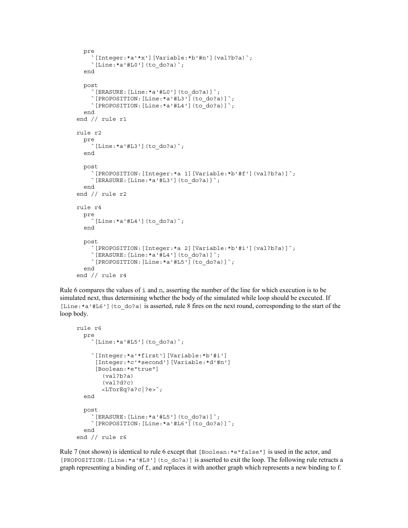```
 pre
     `[Integer:*a'*x'][Variable:*b'#n'](val?b?a)`;
     `[Line:*a'#L0'](to_do?a)`;
   end
   post
    \Gamma[ERASURE: [Line: *a'#L0'](to_do?a)]\Gamma;
     `[PROPOSITION:[Line:*a'#L3'](to_do?a)]`;
     `[PROPOSITION:[Line:*a'#L4'](to_do?a)]`;
   end
 end // rule r1
 rule r2
   pre
    \lceilLine:*a'#L3'](to do?a)`;
   end
   post
     `[PROPOSITION:[Integer:*a 1][Variable:*b'#f'](val?b?a)]`;
     `[ERASURE:[Line:*a'#L3'](to_do?a)]`;
   end
 end // rule r2
 rule r4
   pre
    \lceilLine: *a'#L4'](to_do?a)';
   end
   post
     `[PROPOSITION:[Integer:*a 2][Variable:*b'#i'](val?b?a)]`;
    \Gamma[ERASURE: [Line: *a'#L4'](to_do?a)]\Gamma;
     `[PROPOSITION:[Line:*a'#L5'](to_do?a)]`;
   end
 end // rule r4
```
Rule 6 compares the values of i and n, asserting the number of the line for which execution is to be simulated next, thus determining whether the body of the simulated while loop should be executed. If  $[Line: *a' # L6']$  (to do?a) is asserted, rule 8 fires on the next round, corresponding to the start of the loop body.

```
 rule r6
   pre
     \lceil[Line:*a'#L5'](to do?a)\lceil;
      `[Integer:*a'*first'][Variable:*b'#i']
       [Integer:*c'*second'][Variable:*d'#n']
       [Boolean:*e"true"]
         (val?b?a)
         (val?d?c)
         <LTorEq?a?c|?e>`;
   end
   post
     \lceil[ERASURE: [Line: *a'#L5'] (to do?a)]\lceil;
      `[PROPOSITION:[Line:*a'#L6'](to_do?a)]`;
   end
 end // rule r6
```
Rule 7 (not shown) is identical to rule 6 except that  $[Boolean.*e" false"]$  is used in the actor, and [PROPOSITION:[Line:\*a'#L9'](to\_do?a)] is asserted to exit the loop. The following rule retracts a graph representing a binding of  $f$ , and replaces it with another graph which represents a new binding to f.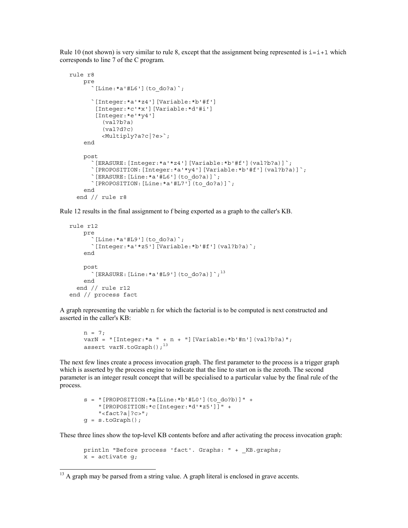Rule 10 (not shown) is very similar to rule 8, except that the assignment being represented is  $i=i+1$  which corresponds to line 7 of the C program.

```
rule r8
     pre
      \lceilLine:*a'#L6'](to do?a)`;
        `[Integer:*a'*z4'][Variable:*b'#f']
         [Integer:*c'*x'][Variable:*d'#i']
         [Integer:*e'*y4']
           (val?b?a)
           (val?d?c)
           <Multiply?a?c|?e>`;
     end
     post
       `[ERASURE:[Integer:*a'*z4'][Variable:*b'#f'](val?b?a)]`;
       `[PROPOSITION:[Integer:*a'*y4'][Variable:*b'#f'](val?b?a)]`;
      \Gamma[ERASURE: [Line: *a'#L6'](to_do?a)]\Gamma;
      \Gamma[PROPOSITION: [Line: *a' #L7'](to_do?a)]\Gamma;
     end
   end // rule r8
```
Rule 12 results in the final assignment to f being exported as a graph to the caller's KB.

```
rule r12
     pre
       \lceilLine:*a'#L9'](to do?a)`;
        `[Integer:*a'*z5'][Variable:*b'#f'](val?b?a)`;
     end
     post
       \Gamma[ERASURE: [Line: *a'#L9'](to do?a)]\Gamma;<sup>13</sup>
     end
   end // rule r12
end // process fact
```
A graph representing the variable n for which the factorial is to be computed is next constructed and asserted in the caller's KB:

```
n = 7;varN = "[Integer:*a " + n + "][Variable:*b'#n'](val?b?a)";
assert varN.toGraph();^{13}
```
The next few lines create a process invocation graph. The first parameter to the process is a trigger graph which is asserted by the process engine to indicate that the line to start on is the zeroth. The second parameter is an integer result concept that will be specialised to a particular value by the final rule of the process.

```
s = "[PROPOSITION: *a[Line: *b' #L0'] (to do?b)]" + "[PROPOSITION:*c[Integer:*d'*z5']]" +
     "<fact?a|?c>";
g = s.toGraph();
```
l

These three lines show the top-level KB contents before and after activating the process invocation graph:

println "Before process 'fact'. Graphs: " + \_KB.graphs;  $x =$  activate q;

 $13$  A graph may be parsed from a string value. A graph literal is enclosed in grave accents.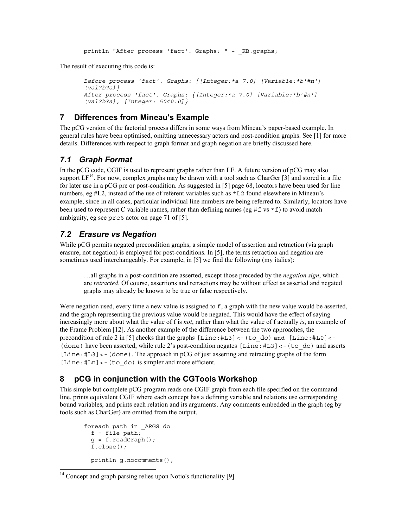```
println "After process 'fact'. Graphs: " + _KB.graphs;
```
The result of executing this code is:

```
Before process 'fact'. Graphs: {[Integer:*a 7.0] [Variable:*b'#n']
(val?b?a)}
After process 'fact'. Graphs: {[Integer:*a 7.0] [Variable:*b'#n']
(val?b?a), [Integer: 5040.0]}
```
### **7 Differences from Mineau's Example**

The pCG version of the factorial process differs in some ways from Mineau's paper-based example. In general rules have been optimised, omitting unnecessary actors and post-condition graphs. See [\[1\]](#page-11-0) for more details. Differences with respect to graph format and graph negation are briefly discussed here.

# *7.1 Graph Format*

In the pCG code, CGIF is used to represent graphs rather than LF. A future version of pCG may also support  $LF^{14}$ . For now, complex graphs may be drawn with a tool such as CharGer [[3\]](#page-11-0) and stored in a file for later use in a pCG pre or post-condition. As suggested in [[5\]](#page-11-0) page 68, locators have been used for line numbers, eg #L2, instead of the use of referent variables such as \*L2 found elsewhere in Mineau's example, since in all cases, particular individual line numbers are being referred to. Similarly, locators have been used to represent C variable names, rather than defining names (eg  $#f$  vs  $*f$ ) to avoid match ambiguity, eg see pre6 actor on page 71 of [\[5\]](#page-11-0).

# *7.2 Erasure vs Negation*

While pCG permits negated precondition graphs, a simple model of assertion and retraction (via graph) erasure, not negation) is employed for post-conditions. In [[5\]](#page-11-0), the terms retraction and negation are sometimes used interchangeably. For example, in [[5\]](#page-11-0) we find the following (my italics):

…all graphs in a post-condition are asserted, except those preceded by the *negation sign*, which are *retracted*. Of course, assertions and retractions may be without effect as asserted and negated graphs may already be known to be true or false respectively.

Were negation used, every time a new value is assigned to f, a graph with the new value would be asserted, and the graph representing the previous value would be negated. This would have the effect of saying increasingly more about what the value of f is *not*, rather than what the value of f actually *is*, an example of the Frame Problem [[12\]](#page-12-0). As another example of the difference between the two approaches, the precondition of rule 2 in [[5\]](#page-11-0) checks that the graphs [Line:#L3]<-(to\_do) and [Line:#L0]<- (done) have been asserted, while rule 2's post-condition negates [Line:#L3]<-(to\_do) and asserts  $[Line: \#L3] \leq (done)$ . The approach in pCG of just asserting and retracting graphs of the form  $[Line: \#Ln] < - (to do)$  is simpler and more efficient.

# **8 pCG in conjunction with the CGTools Workshop**

This simple but complete pCG program reads one CGIF graph from each file specified on the commandline, prints equivalent CGIF where each concept has a defining variable and relations use corresponding bound variables, and prints each relation and its arguments. Any comments embedded in the graph (eg by tools such as CharGer) are omitted from the output.

```
foreach path in _ARGS do
 f = file path; g = f.readGraph();
   f.close();
  println g.nocomments();
```
l

 $14$  Concept and graph parsing relies upon Notio's functionality [9].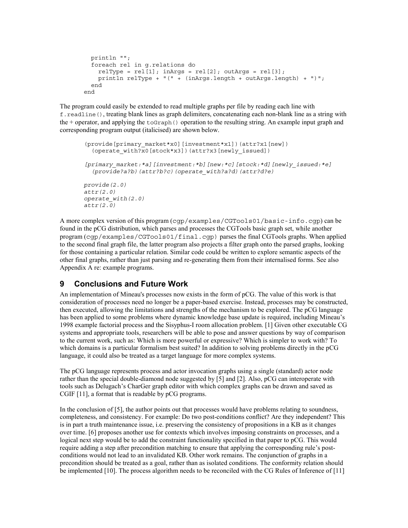```
 println "";
   foreach rel in g.relations do
   relType = rel[1]; inArgs = rel[2]; outArgs = rel[3]; println relType + "(" + (inArgs.length + outArgs.length) + ")";
  end
end
```
The program could easily be extended to read multiple graphs per file by reading each line with f.readline(), treating blank lines as graph delimiters, concatenating each non-blank line as a string with the  $+$  operator, and applying the  $t$  og  $t$  operation to the resulting string. An example input graph and corresponding program output (italicised) are shown below.

```
(provide[primary_market*x0][investment*x1])(attr?x1[new])
  (operate with?x0[stock*x3])(attr?x3[newly_issued])
[primary_market:*a][investment:*b][new:*c][stock:*d][newly_issued:*e]
   (provide?a?b)(attr?b?c)(operate_with?a?d)(attr?d?e)
provide(2.0)
attr(2.0)
operate_with(2.0)
attr(2.0)
```
A more complex version of this program (cgp/examples/CGTools01/basic-info.cgp) can be found in the pCG distribution, which parses and processes the CGTools basic graph set, while another program (cgp/examples/CGTools01/final.cgp) parses the final CGTools graphs. When applied to the second final graph file, the latter program also projects a filter graph onto the parsed graphs, looking for those containing a particular relation. Similar code could be written to explore semantic aspects of the other final graphs, rather than just parsing and re-generating them from their internalised forms. See also Appendix A re: example programs.

### **9 Conclusions and Future Work**

An implementation of Mineau's processes now exists in the form of pCG. The value of this work is that consideration of processes need no longer be a paper-based exercise. Instead, processes may be constructed, then executed, allowing the limitations and strengths of the mechanism to be explored. The pCG language has been applied to some problems where dynamic knowledge base update is required, including Mineau's 1998 example factorial process and the Sisyphus-I room allocation problem. [\[1\]](#page-11-0) Given other executable CG systems and appropriate tools, researchers will be able to pose and answer questions by way of comparison to the current work, such as: Which is more powerful or expressive? Which is simpler to work with? To which domains is a particular formalism best suited? In addition to solving problems directly in the pCG language, it could also be treated as a target language for more complex systems.

The pCG language represents process and actor invocation graphs using a single (standard) actor node rather than the special double-diamond node suggested by [[5\]](#page-11-0) and [\[2\]](#page-11-0). Also, pCG can interoperate with tools such as Delugach's CharGer graph editor with which complex graphs can be drawn and saved as CGIF [[11\]](#page-12-0), a format that is readable by pCG programs.

In the conclusion of [[5\]](#page-11-0), the author points out that processes would have problems relating to soundness, completeness, and consistency. For example: Do two post-conditions conflict? Are they independent? This is in part a truth maintenance issue, i.e. preserving the consistency of propositions in a KB as it changes over time. [[6\]](#page-11-0) proposes another use for contexts which involves imposing constraints on processes, and a logical next step would be to add the constraint functionality specified in that paper to pCG. This would require adding a step after precondition matching to ensure that applying the corresponding rule's postconditions would not lead to an invalidated KB. Other work remains. The conjunction of graphs in a precondition should be treated as a goal, rather than as isolated conditions. The conformity relation should be implemented [[10\]](#page-12-0). The process algorithm needs to be reconciled with the CG Rules of Inference of [[11\]](#page-12-0)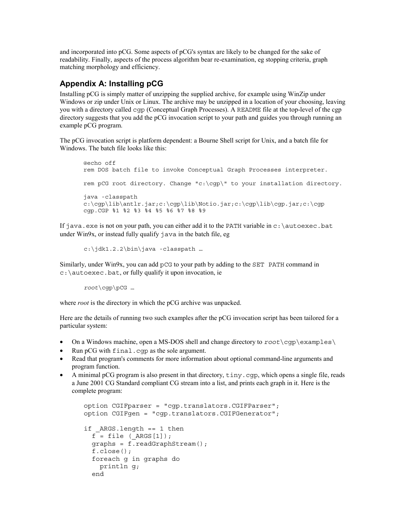and incorporated into pCG. Some aspects of pCG's syntax are likely to be changed for the sake of readability. Finally, aspects of the process algorithm bear re-examination, eg stopping criteria, graph matching morphology and efficiency.

# **Appendix A: Installing pCG**

Installing pCG is simply matter of unzipping the supplied archive, for example using WinZip under Windows or zip under Unix or Linux. The archive may be unzipped in a location of your choosing, leaving you with a directory called cgp (Conceptual Graph Processes). A README file at the top-level of the cgp directory suggests that you add the pCG invocation script to your path and guides you through running an example pCG program.

The pCG invocation script is platform dependent: a Bourne Shell script for Unix, and a batch file for Windows. The batch file looks like this:

```
@echo off
rem DOS batch file to invoke Conceptual Graph Processes interpreter.
rem pCG root directory. Change "c:\cgp\" to your installation directory.
java -classpath
c:\cap\limits_{a}c:\emptyset\ ib\antlr.jar;c:\cgp\lib\Notio.jar;c:\cgp\lib\cgp.jar;c:\cgp
cgp.CGP %1 %2 %3 %4 %5 %6 %7 %8 %9
```
If java.exe is not on your path, you can either add it to the PATH variable in c: \autoexec.bat under Win9x, or instead fully qualify java in the batch file, eg

c:\jdk1.2.2\bin\java -classpath …

Similarly, under Win9x, you can add pCG to your path by adding to the SET PATH command in c:\autoexec.bat, or fully qualify it upon invocation, ie

*root*\cgp\pCG …

where *root* is the directory in which the pCG archive was unpacked.

Here are the details of running two such examples after the pCG invocation script has been tailored for a particular system:

- On a Windows machine, open a MS-DOS shell and change directory to  $root \cap \emptyset$  examples
- Run pCG with final.cgp as the sole argument.
- Read that program's comments for more information about optional command-line arguments and program function.
- A minimal pCG program is also present in that directory, tiny.cgp, which opens a single file, reads a June 2001 CG Standard compliant CG stream into a list, and prints each graph in it. Here is the complete program:

```
option CGIFparser = "cgp.translators.CGIFParser";
option CGIFgen = "cgp.translators.CGIFGenerator";
if ARGS.length == 1 then
 f = file (ARGS[1]);
 graphs = f.readGraphStream(); f.close();
   foreach g in graphs do
    println g;
   end
```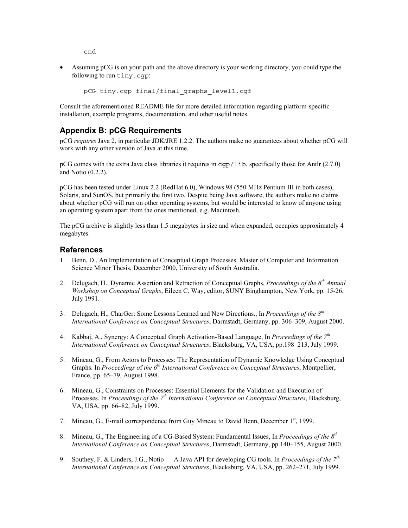end

<span id="page-11-0"></span>• Assuming pCG is on your path and the above directory is your working directory, you could type the following to run tiny.cgp:

pCG tiny.cgp final/final\_graphs\_level1.cgf

Consult the aforementioned README file for more detailed information regarding platform-specific installation, example programs, documentation, and other useful notes.

### **Appendix B: pCG Requirements**

pCG *requires* Java 2, in particular JDK/JRE 1.2.2. The authors make no guarantees about whether pCG will work with any other version of Java at this time.

pCG comes with the extra Java class libraries it requires in cgp/lib, specifically those for Antlr (2.7.0) and Notio (0.2.2).

pCG has been tested under Linux 2.2 (RedHat 6.0), Windows 98 (550 MHz Pentium III in both cases), Solaris, and SunOS, but primarily the first two. Despite being Java software, the authors make no claims about whether pCG will run on other operating systems, but would be interested to know of anyone using an operating system apart from the ones mentioned, e.g. Macintosh.

The pCG archive is slightly less than 1.5 megabytes in size and when expanded, occupies approximately 4 megabytes.

### **References**

- 1. Benn, D., An Implementation of Conceptual Graph Processes. Master of Computer and Information Science Minor Thesis, December 2000, University of South Australia.
- 2. Delugach, H., Dynamic Assertion and Retraction of Conceptual Graphs, *Proceedings of the 6th Annual Workshop on Conceptual Graphs*, Eileen C. Way, editor, SUNY Binghampton, New York, pp. 15-26, July 1991.
- 3. Delugach, H., CharGer: Some Lessons Learned and New Directions., In *Proceedings of the 8th International Conference on Conceptual Structures*, Darmstadt, Germany, pp. 306–309, August 2000.
- 4. Kabbaj, A., Synergy: A Conceptual Graph Activation-Based Language, In *Proceedings of the 7th International Conference on Conceptual Structures*, Blacksburg, VA, USA, pp.198–213, July 1999.
- 5. Mineau, G., From Actors to Processes: The Representation of Dynamic Knowledge Using Conceptual Graphs. In *Proceedings o*f *the 6th International Conference on Conceptual Structures*, Montpellier, France, pp. 65–79, August 1998.
- 6. Mineau, G., Constraints on Processes: Essential Elements for the Validation and Execution of Processes. In *Proceedings of the 7th International Conference on Conceptual Structures*, Blacksburg, VA, USA, pp. 66–82, July 1999.
- 7. Mineau, G., E-mail correspondence from Guy Mineau to David Benn, December 1st, 1999.
- 8. Mineau, G., The Engineering of a CG-Based System: Fundamental Issues, In *Proceedings of the 8th International Conference on Conceptual Structures*, Darmstadt, Germany, pp.140–155, August 2000.
- 9. Southey, F. & Linders, J.G., Notio A Java API for developing CG tools. In *Proceedings of the 7th International Conference on Conceptual Structures*, Blacksburg, VA, USA, pp. 262–271, July 1999.